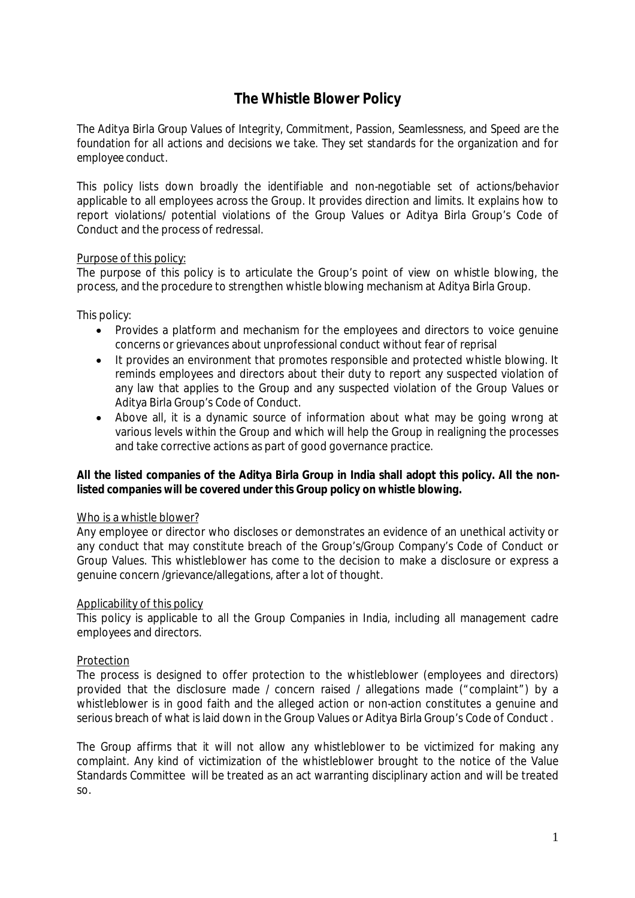# **The Whistle Blower Policy**

*The Aditya Birla Group Values of Integrity, Commitment, Passion, Seamlessness, and Speed are the foundation for all actions and decisions we take. They set standards for the organization and for employee conduct.* 

This policy lists down broadly the identifiable and non-negotiable set of actions/behavior applicable to all employees across the Group. It provides direction and limits. It explains how to report violations/ potential violations of the Group Values or Aditya Birla Group's Code of Conduct and the process of redressal.

## Purpose of this policy:

The purpose of this policy is to articulate the Group's point of view on whistle blowing, the process, and the procedure to strengthen whistle blowing mechanism at Aditya Birla Group.

This policy:

- Provides a platform and mechanism for the employees and directors to voice genuine concerns or grievances about unprofessional conduct without fear of reprisal
- It provides an environment that promotes responsible and protected whistle blowing. It reminds employees and directors about their duty to report any suspected violation of any law that applies to the Group and any suspected violation of the Group Values or Aditya Birla Group's Code of Conduct.
- Above all, it is a dynamic source of information about what may be going wrong at various levels within the Group and which will help the Group in realigning the processes and take corrective actions as part of good governance practice.

## **All the listed companies of the Aditya Birla Group in India shall adopt this policy. All the nonlisted companies will be covered under this Group policy on whistle blowing.**

## Who is a whistle blower?

Any employee or director who discloses or demonstrates an evidence of an unethical activity or any conduct that may constitute breach of the Group's/Group Company's Code of Conduct or Group Values. This whistleblower has come to the decision to make a disclosure or express a genuine concern /grievance/allegations, after a lot of thought.

## Applicability of this policy

This policy is applicable to all the Group Companies in India, including all management cadre employees and directors.

## **Protection**

The process is designed to offer protection to the whistleblower (employees and directors) provided that the disclosure made / concern raised / allegations made ("complaint") by a whistleblower is in good faith and the alleged action or non-action constitutes a genuine and serious breach of what is laid down in the Group Values or Aditya Birla Group's Code of Conduct .

The Group affirms that it will not allow any whistleblower to be victimized for making any complaint. Any kind of victimization of the whistleblower brought to the notice of the Value Standards Committee will be treated as an act warranting disciplinary action and will be treated so.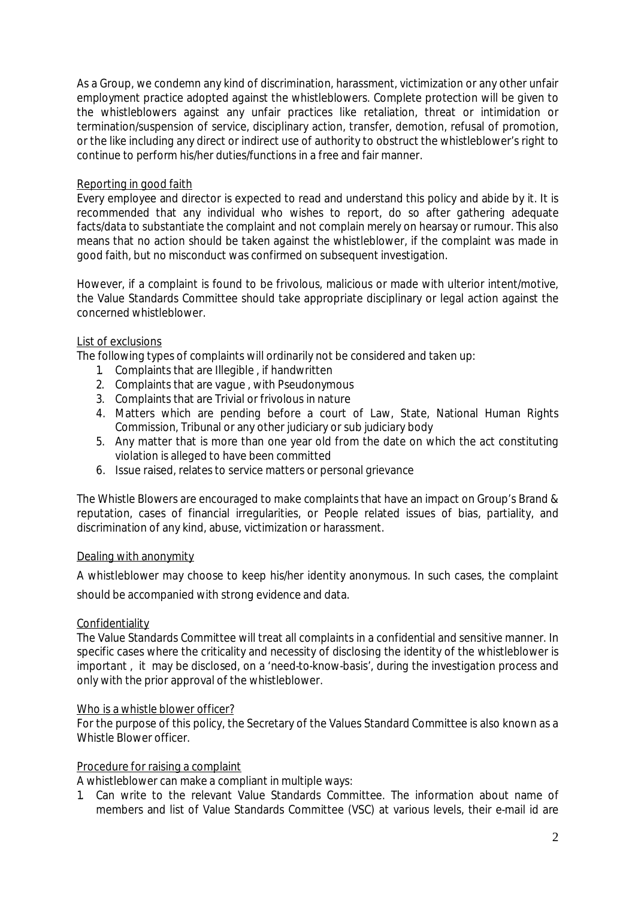As a Group, we condemn any kind of discrimination, harassment, victimization or any other unfair employment practice adopted against the whistleblowers. Complete protection will be given to the whistleblowers against any unfair practices like retaliation, threat or intimidation or termination/suspension of service, disciplinary action, transfer, demotion, refusal of promotion, or the like including any direct or indirect use of authority to obstruct the whistleblower's right to continue to perform his/her duties/functions in a free and fair manner.

# Reporting in good faith

Every employee and director is expected to read and understand this policy and abide by it. It is recommended that any individual who wishes to report, do so after gathering adequate facts/data to substantiate the complaint and not complain merely on hearsay or rumour. This also means that no action should be taken against the whistleblower, if the complaint was made in good faith, but no misconduct was confirmed on subsequent investigation.

However, if a complaint is found to be frivolous, malicious or made with ulterior intent/motive, the Value Standards Committee should take appropriate disciplinary or legal action against the concerned whistleblower.

# List of exclusions

The following types of complaints will ordinarily not be considered and taken up:

- 1. Complaints that are Illegible , if handwritten
- 2. Complaints that are vague , with Pseudonymous
- 3. Complaints that are Trivial or frivolous in nature
- 4. Matters which are pending before a court of Law, State, National Human Rights Commission, Tribunal or any other judiciary or sub judiciary body
- 5. Any matter that is more than one year old from the date on which the act constituting violation is alleged to have been committed
- 6. Issue raised, relates to service matters or personal grievance

The Whistle Blowers are encouraged to make complaints that have an impact on Group's Brand & reputation, cases of financial irregularities, or People related issues of bias, partiality, and discrimination of any kind, abuse, victimization or harassment.

## Dealing with anonymity

A whistleblower may choose to keep his/her identity anonymous. In such cases, the complaint should be accompanied with strong evidence and data.

## **Confidentiality**

The Value Standards Committee will treat all complaints in a confidential and sensitive manner. In specific cases where the criticality and necessity of disclosing the identity of the whistleblower is important , it may be disclosed, on a 'need-to-know-basis', during the investigation process and only with the prior approval of the whistleblower.

## Who is a whistle blower officer?

For the purpose of this policy, the Secretary of the Values Standard Committee is also known as a Whistle Blower officer.

# Procedure for raising a complaint

A whistleblower can make a compliant in multiple ways:

1. Can write to the relevant Value Standards Committee. The information about name of members and list of Value Standards Committee (VSC) at various levels, their e-mail id are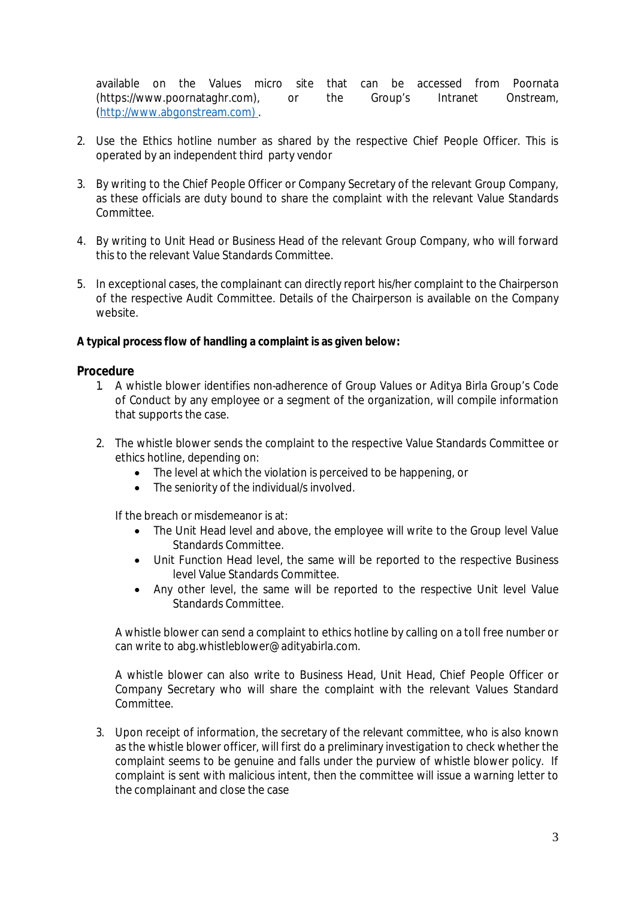available on the Values micro site that can be accessed from Poornata (https://www.poornataghr.com), or the Group's Intranet Onstream, (http://www.abgonstream.com) .

- 2. Use the Ethics hotline number as shared by the respective Chief People Officer. This is operated by an independent third party vendor
- 3. By writing to the Chief People Officer or Company Secretary of the relevant Group Company, as these officials are duty bound to share the complaint with the relevant Value Standards Committee.
- 4. By writing to Unit Head or Business Head of the relevant Group Company, who will forward this to the relevant Value Standards Committee.
- 5. In exceptional cases, the complainant can directly report his/her complaint to the Chairperson of the respective Audit Committee. Details of the Chairperson is available on the Company website.

# **A typical process flow of handling a complaint is as given below:**

## **Procedure**

- 1. A whistle blower identifies non-adherence of Group Values or Aditya Birla Group's Code of Conduct by any employee or a segment of the organization, will compile information that supports the case.
- 2. The whistle blower sends the complaint to the respective Value Standards Committee or ethics hotline, depending on:
	- The level at which the violation is perceived to be happening, or
	- The seniority of the individual/s involved.

If the breach or misdemeanor is at:

- The Unit Head level and above, the employee will write to the Group level Value Standards Committee.
- Unit Function Head level, the same will be reported to the respective Business level Value Standards Committee.
- Any other level, the same will be reported to the respective Unit level Value Standards Committee.

A whistle blower can send a complaint to ethics hotline by calling on a toll free number or can write to abg.whistleblower@adityabirla.com.

A whistle blower can also write to Business Head, Unit Head, Chief People Officer or Company Secretary who will share the complaint with the relevant Values Standard Committee.

*3.* Upon receipt of information, the secretary of the relevant committee, who is also known as the whistle blower officer, will first do a preliminary investigation to check whether the complaint seems to be genuine and falls under the purview of whistle blower policy. If complaint is sent with malicious intent, then the committee will issue a warning letter to the complainant and close the case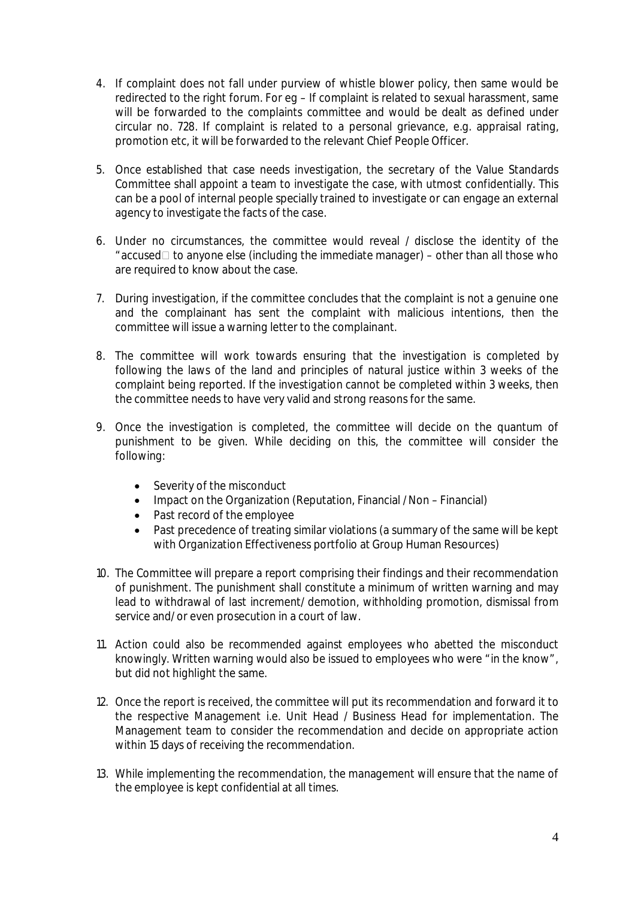- 4. If complaint does not fall under purview of whistle blower policy, then same would be redirected to the right forum. For eg – If complaint is related to sexual harassment, same will be forwarded to the complaints committee and would be dealt as defined under circular no. 728. If complaint is related to a personal grievance, e.g. appraisal rating, promotion etc, it will be forwarded to the relevant Chief People Officer.
- 5. Once established that case needs investigation, the secretary of the Value Standards Committee shall appoint a team to investigate the case, with utmost confidentially. This can be a pool of internal people specially trained to investigate or can engage an external agency to investigate the facts of the case.
- 6. Under no circumstances, the committee would reveal / disclose the identity of the "accused $\Box$  to anyone else (including the immediate manager) – other than all those who are required to know about the case.
- 7. During investigation, if the committee concludes that the complaint is not a genuine one and the complainant has sent the complaint with malicious intentions, then the committee will issue a warning letter to the complainant.
- 8. The committee will work towards ensuring that the investigation is completed by following the laws of the land and principles of natural justice within 3 weeks of the complaint being reported. If the investigation cannot be completed within 3 weeks, then the committee needs to have very valid and strong reasons for the same.
- 9. Once the investigation is completed, the committee will decide on the quantum of punishment to be given. While deciding on this, the committee will consider the following:
	- Severity of the misconduct
	- Impact on the Organization (Reputation, Financial / Non Financial)
	- Past record of the employee
	- Past precedence of treating similar violations (a summary of the same will be kept with Organization Effectiveness portfolio at Group Human Resources)
- 10. The Committee will prepare a report comprising their findings and their recommendation of punishment. The punishment shall constitute a minimum of written warning and may lead to withdrawal of last increment/ demotion, withholding promotion, dismissal from service and/ or even prosecution in a court of law.
- 11. Action could also be recommended against employees who abetted the misconduct knowingly. Written warning would also be issued to employees who were "in the know", but did not highlight the same.
- 12. Once the report is received, the committee will put its recommendation and forward it to the respective Management i.e. Unit Head / Business Head for implementation. The Management team to consider the recommendation and decide on appropriate action within 15 days of receiving the recommendation.
- 13. While implementing the recommendation, the management will ensure that the name of the employee is kept confidential at all times.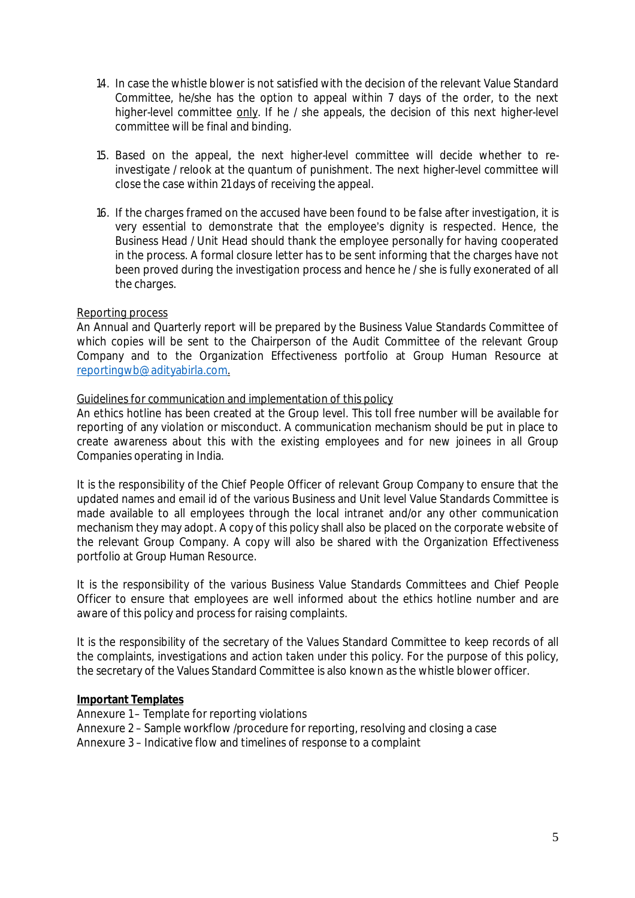- 14. In case the whistle blower is not satisfied with the decision of the relevant Value Standard Committee, he/she has the option to appeal within 7 days of the order, to the next higher-level committee only. If he / she appeals, the decision of this next higher-level committee will be final and binding.
- 15. Based on the appeal, the next higher-level committee will decide whether to reinvestigate / relook at the quantum of punishment. The next higher-level committee will close the case within 21 days of receiving the appeal.
- 16. If the charges framed on the accused have been found to be false after investigation, it is very essential to demonstrate that the employee's dignity is respected. Hence, the Business Head / Unit Head should thank the employee personally for having cooperated in the process. A formal closure letter has to be sent informing that the charges have not been proved during the investigation process and hence he / she is fully exonerated of all the charges.

# Reporting process

An Annual and Quarterly report will be prepared by the Business Value Standards Committee of which copies will be sent to the Chairperson of the Audit Committee of the relevant Group Company and to the Organization Effectiveness portfolio at Group Human Resource at reportingwb@adityabirla.com.

## Guidelines for communication and implementation of this policy

An ethics hotline has been created at the Group level. This toll free number will be available for reporting of any violation or misconduct. A communication mechanism should be put in place to create awareness about this with the existing employees and for new joinees in all Group Companies operating in India.

It is the responsibility of the Chief People Officer of relevant Group Company to ensure that the updated names and email id of the various Business and Unit level Value Standards Committee is made available to all employees through the local intranet and/or any other communication mechanism they may adopt. A copy of this policy shall also be placed on the corporate website of the relevant Group Company. A copy will also be shared with the Organization Effectiveness portfolio at Group Human Resource.

It is the responsibility of the various Business Value Standards Committees and Chief People Officer to ensure that employees are well informed about the ethics hotline number and are aware of this policy and process for raising complaints.

It is the responsibility of the secretary of the Values Standard Committee to keep records of all the complaints, investigations and action taken under this policy. For the purpose of this policy, the secretary of the Values Standard Committee is also known as the whistle blower officer*.*

## **Important Templates**

- Annexure 1 Template for reporting violations
- Annexure 2 Sample workflow /procedure for reporting, resolving and closing a case

Annexure 3 – Indicative flow and timelines of response to a complaint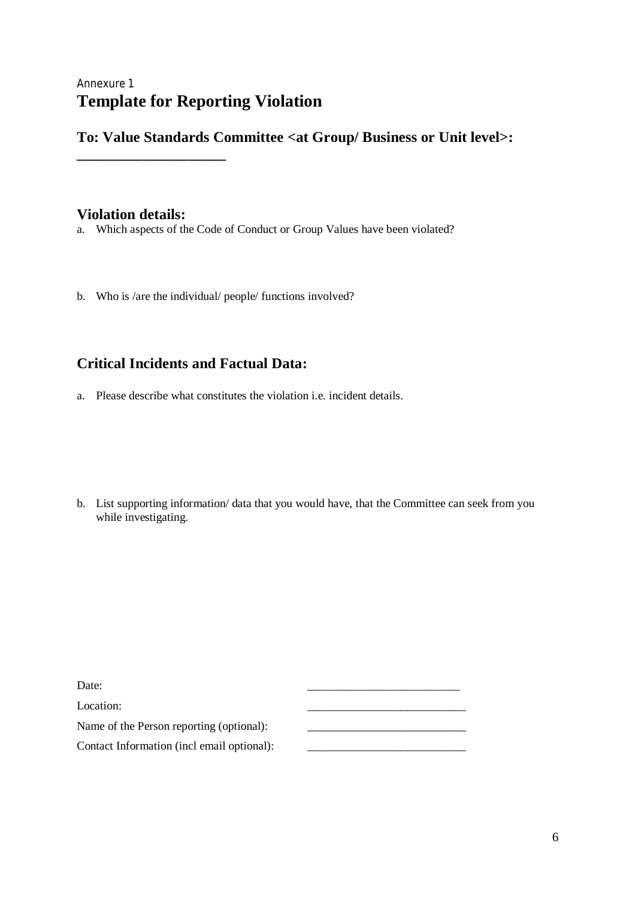# Annexure 1 **Template for Reporting Violation**

**To: Value Standards Committee <at Group/ Business or Unit level>:** 

# **Violation details:**

**\_\_\_\_\_\_\_\_\_\_\_\_\_\_\_\_\_\_\_\_**

a. Which aspects of the Code of Conduct or Group Values have been violated?

b. Who is /are the individual/ people/ functions involved?

# **Critical Incidents and Factual Data:**

a. Please describe what constitutes the violation i.e. incident details.

b. List supporting information/ data that you would have, that the Committee can seek from you while investigating.

| Date:                                      |  |
|--------------------------------------------|--|
| Location:                                  |  |
| Name of the Person reporting (optional):   |  |
| Contact Information (incl email optional): |  |